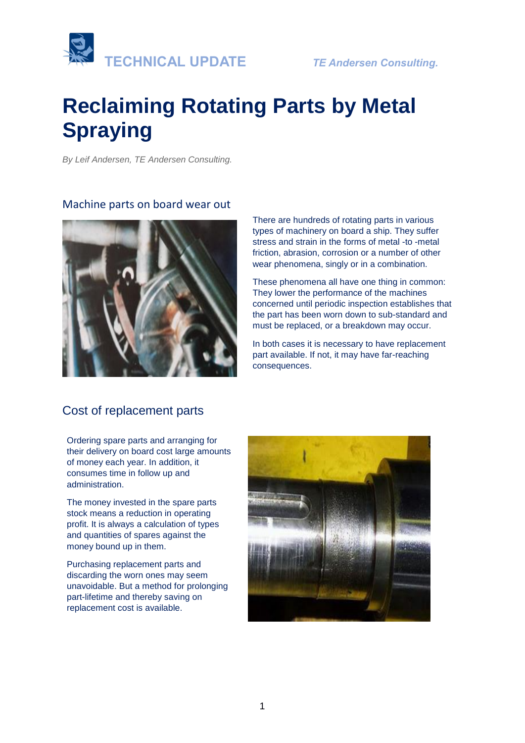

# **Reclaiming Rotating Parts by Metal Spraying**

*By Leif Andersen, TE Andersen Consulting.* 

#### Machine parts on board wear out



There are hundreds of rotating parts in various types of machinery on board a ship. They suffer stress and strain in the forms of metal -to -metal friction, abrasion, corrosion or a number of other wear phenomena, singly or in a combination.

These phenomena all have one thing in common: They lower the performance of the machines concerned until periodic inspection establishes that the part has been worn down to sub-standard and must be replaced, or a breakdown may occur.

In both cases it is necessary to have replacement part available. If not, it may have far-reaching consequences.

### Cost of replacement parts

Ordering spare parts and arranging for their delivery on board cost large amounts of money each year. In addition, it consumes time in follow up and administration.

The money invested in the spare parts stock means a reduction in operating profit. It is always a calculation of types and quantities of spares against the money bound up in them.

Purchasing replacement parts and discarding the worn ones may seem unavoidable. But a method for prolonging part-lifetime and thereby saving on replacement cost is available.

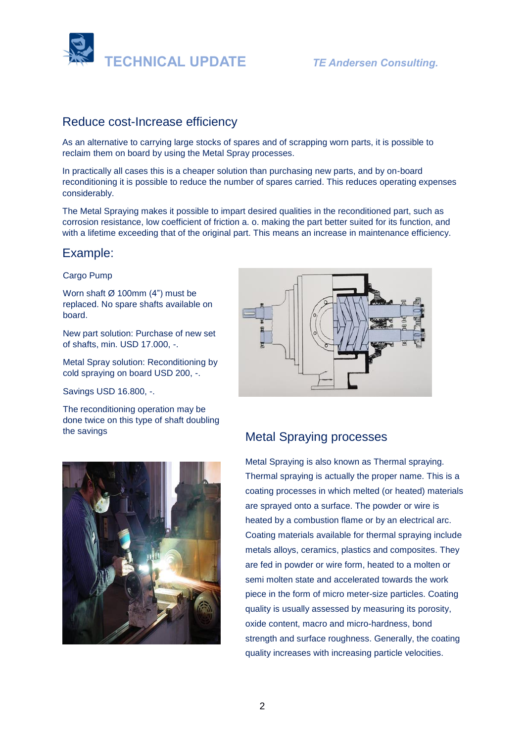

### Reduce cost-Increase efficiency

As an alternative to carrying large stocks of spares and of scrapping worn parts, it is possible to reclaim them on board by using the Metal Spray processes.

In practically all cases this is a cheaper solution than purchasing new parts, and by on-board reconditioning it is possible to reduce the number of spares carried. This reduces operating expenses considerably.

The Metal Spraying makes it possible to impart desired qualities in the reconditioned part, such as corrosion resistance, low coefficient of friction a. o. making the part better suited for its function, and with a lifetime exceeding that of the original part. This means an increase in maintenance efficiency.

### Example:

#### Cargo Pump

Worn shaft  $\varnothing$  100mm (4") must be replaced. No spare shafts available on board.

New part solution: Purchase of new set of shafts, min. USD 17.000, -.

Metal Spray solution: Reconditioning by cold spraying on board USD 200, -.

Savings USD 16.800, -.

The reconditioning operation may be done twice on this type of shaft doubling





### the savings **Metal Spraying processes**

Metal Spraying is also known as Thermal spraying. Thermal spraying is actually the proper name. This is a [coating](https://en.wikipedia.org/wiki/Coating) processes in which melted (or heated) materials are sprayed onto a surface. The powder or wire is heated by a combustion flame or by an electrical arc. Coating materials available for thermal spraying include metals alloys, ceramics, plastics and composites. They are fed in powder or wire form, heated to a molten or semi molten state and accelerated towards the work piece in the form of micro meter-size particles. Coating quality is usually assessed by measuring its porosity, [oxide](https://en.wikipedia.org/wiki/Metal_oxide) content, macro and micro[-hardness,](https://en.wikipedia.org/wiki/Hardness_(materials_science)) [bond](https://en.wikipedia.org/wiki/Bond_strength)  [strength](https://en.wikipedia.org/wiki/Bond_strength) and [surface roughness.](https://en.wikipedia.org/wiki/Surface_roughness) Generally, the coating quality increases with increasing particle velocities.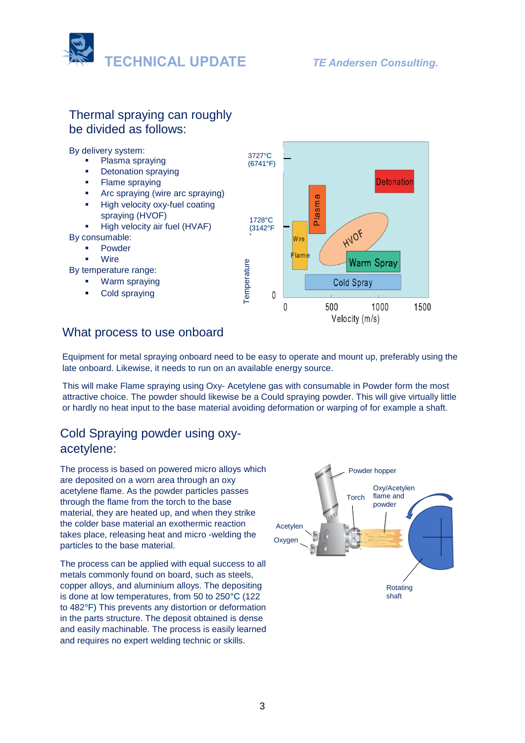

### Thermal spraying can roughly be divided as follows:

By delivery system:

- Plasma spraying
- **Detonation spraying**
- **•** Flame spraying
- Arc spraying (wire arc spraying) High velocity oxy-fuel coating
- spraying (HVOF) ▪ High velocity air fuel (HVAF)

By consumable:

- **Powder**
- **Wire**

By temperature range:

- Warm spraying
- [Cold spraying](https://en.wikipedia.org/wiki/Cold_spraying)



### What process to use onboard

Equipment for metal spraying onboard need to be easy to operate and mount up, preferably using the late onboard. Likewise, it needs to run on an available energy source.

This will make Flame spraying using Oxy- Acetylene gas with consumable in Powder form the most attractive choice. The powder should likewise be a Could spraying powder. This will give virtually little or hardly no heat input to the base material avoiding deformation or warping of for example a shaft.

### Cold Spraying powder using oxyacetylene:

The process is based on powered micro alloys which are deposited on a worn area through an oxy acetylene flame. As the powder particles passes through the flame from the torch to the base material, they are heated up, and when they strike the colder base material an exothermic reaction takes place, releasing heat and micro -welding the particles to the base material.

The process can be applied with equal success to all metals commonly found on board, such as steels, copper alloys, and aluminium alloys. The depositing is done at low temperatures, from 50 to 250°C (122 to 482°F) This prevents any distortion or deformation in the parts structure. The deposit obtained is dense and easily machinable. The process is easily learned and requires no expert welding technic or skills.

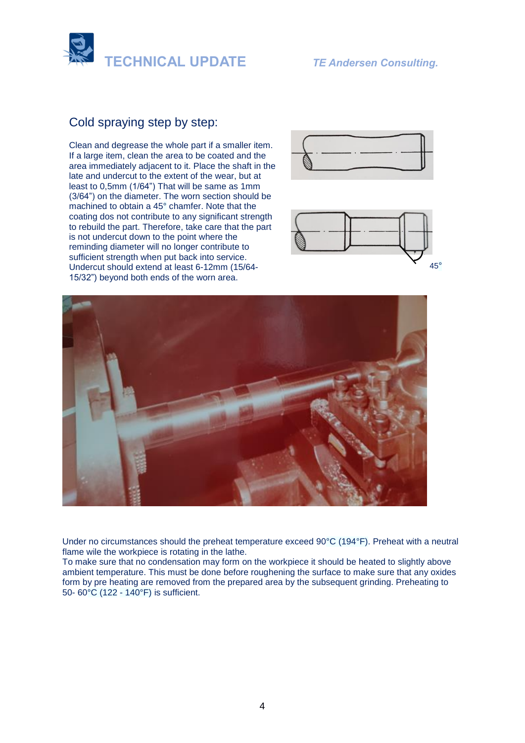

## **Cold spraying step by step:** Cold spraying step by step:

Clean and degrease the hole part if a smaller item. If If a large item, clean the area to be coated and the a large item cleans the area to be coated and the area immediately adjacent to it. Place the shaft in the area immediately adjacent to it. Place the shaft in the late and undercut to the extent of the wear, but at late and undercut to the extent of the wear, but at least to 0,5mm (1/64") That will be same as 1mm  $(3/64)$  on the diameter. The worn section should be machined to obtain a 45° chamfer. Note that the machined to estain a 18 enamined: Note that the coating dos not contribute to any significant strength any significant strength to rebuild the part. Therefore, to rebuild the part. Therefore, take care that the part to result the part. Therefore, take care that the part is not undercut down to the point where the point where the reminding diameter will no longer reminding diameter will no longer contribute to contribute to sufficient strength when put back into sufficient strength when put back into service. service. Undercut should extend at least 6-12mm (15/64- Clean and degrease the whole part if a smaller item. 15/32") beyond both ends of the worn area.







Under no circumstances should the preheat temperature exceed 90°C (194°F). Preheat with a neutral flame wile the workpiece is rotating in the lathe.

To make sure that no condensation may form on the workpiece it should be heated to slightly above ambient temperature. This must be done before roughening the surface to make sure that any oxides form by pre heating are removed from the prepared area by the subsequent grinding. Preheating to 50- 60°C (122 - 140°F) is sufficient.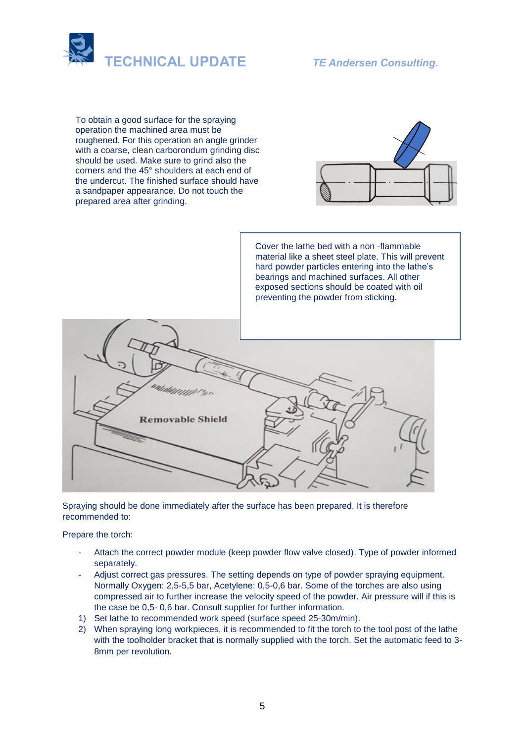

To obtain a good surface for the spraying operation the machined area must be roughened. For this operation an angle grinder with a coarse, clean carborondum grinding disc should be used. Make sure to grind also the corners and the 45° shoulders at each end of the undercut. The finished surface should have a sandpaper appearance. Do not touch the prepared area after grinding.



Cover the lathe bed with a non -flammable material like a sheet steel plate. This will prevent hard powder particles entering into the lathe's bearings and machined surfaces. All other exposed sections should be coated with oil preventing the powder from sticking.



Spraying should be done immediately after the surface has been prepared. It is therefore recommended to:

#### Prepare the torch:

- Attach the correct powder module (keep powder flow valve closed). Type of powder informed separately.
- Adjust correct gas pressures. The setting depends on type of powder spraying equipment. Normally Oxygen: 2,5-5,5 bar, Acetylene: 0,5-0,6 bar. Some of the torches are also using compressed air to further increase the velocity speed of the powder. Air pressure will if this is the case be 0,5- 0,6 bar. Consult supplier for further information.
- 1) Set lathe to recommended work speed (surface speed 25-30m/min).
- 2) When spraying long workpieces, it is recommended to fit the torch to the tool post of the lathe with the toolholder bracket that is normally supplied with the torch. Set the automatic feed to 3- 8mm per revolution.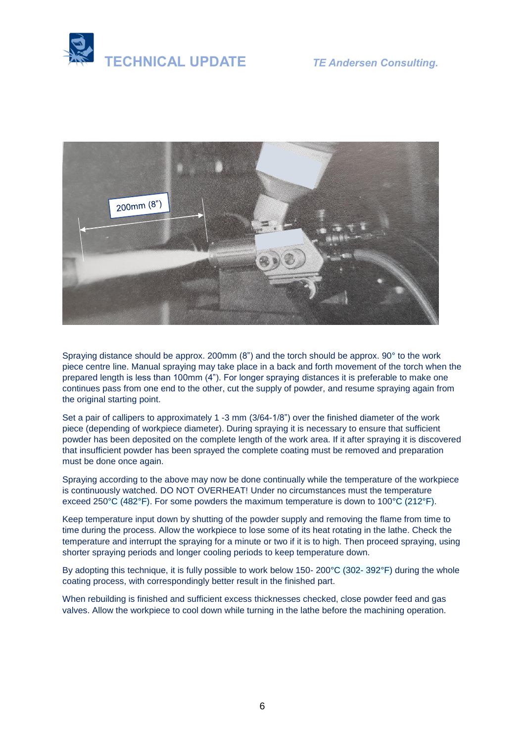



Spraying distance should be approx. 200mm (8") and the torch should be approx. 90° to the work piece centre line. Manual spraying may take place in a back and forth movement of the torch when the prepared length is less than 100mm (4"). For longer spraying distances it is preferable to make one continues pass from one end to the other, cut the supply of powder, and resume spraying again from the original starting point.

Set a pair of callipers to approximately 1 -3 mm (3/64-1/8") over the finished diameter of the work piece (depending of workpiece diameter). During spraying it is necessary to ensure that sufficient powder has been deposited on the complete length of the work area. If it after spraying it is discovered that insufficient powder has been sprayed the complete coating must be removed and preparation must be done once again.

Spraying according to the above may now be done continually while the temperature of the workpiece is continuously watched. DO NOT OVERHEAT! Under no circumstances must the temperature exceed 250°C (482°F). For some powders the maximum temperature is down to 100°C (212°F).

Keep temperature input down by shutting of the powder supply and removing the flame from time to time during the process. Allow the workpiece to lose some of its heat rotating in the lathe. Check the temperature and interrupt the spraying for a minute or two if it is to high. Then proceed spraying, using shorter spraying periods and longer cooling periods to keep temperature down.

By adopting this technique, it is fully possible to work below 150- 200°C (302- 392°F) during the whole coating process, with correspondingly better result in the finished part.

When rebuilding is finished and sufficient excess thicknesses checked, close powder feed and gas valves. Allow the workpiece to cool down while turning in the lathe before the machining operation.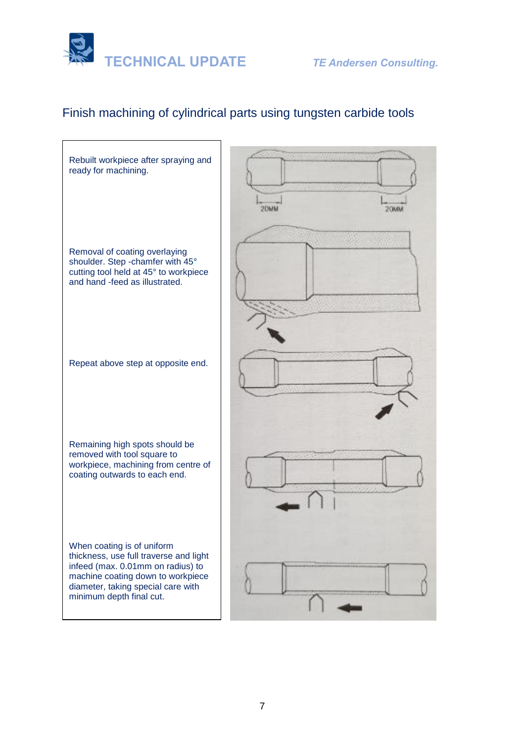

### Finish machining of cylindrical parts using tungsten carbide tools

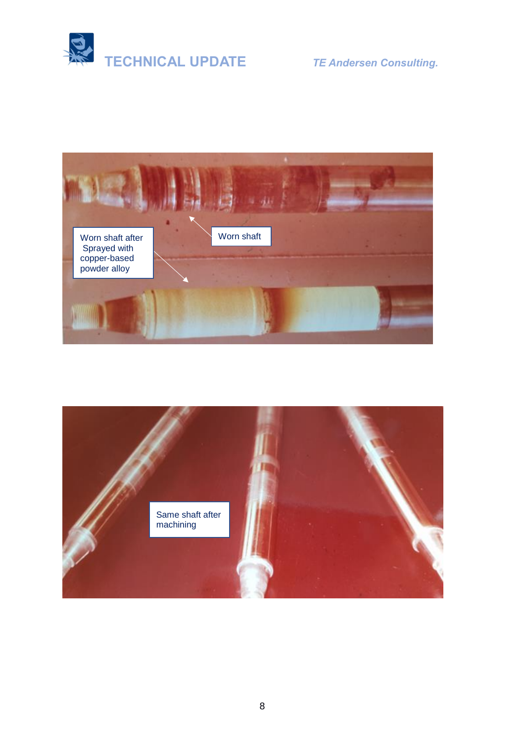



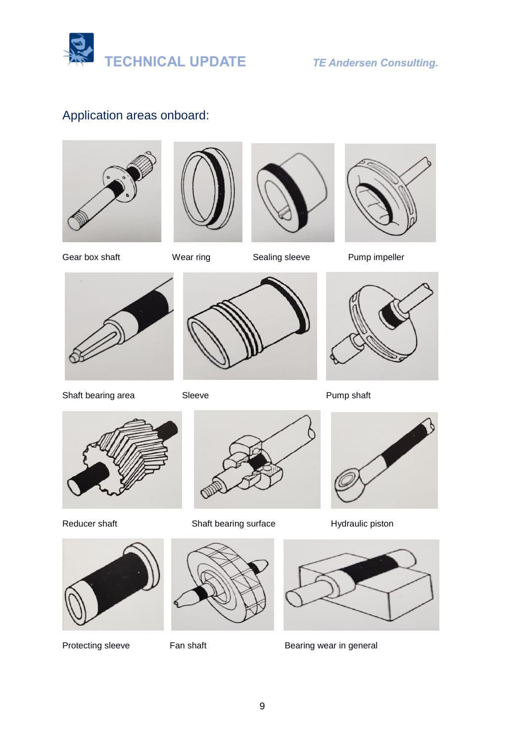

### Application areas onboard:









Gear box shaft Wear ring Sealing sleeve Pump impeller



Shaft bearing area Sleeve Shaft Pump shaft











Reducer shaft **Shaft bearing surface** Hydraulic piston







Protecting sleeve Fan shaft Bearing wear in general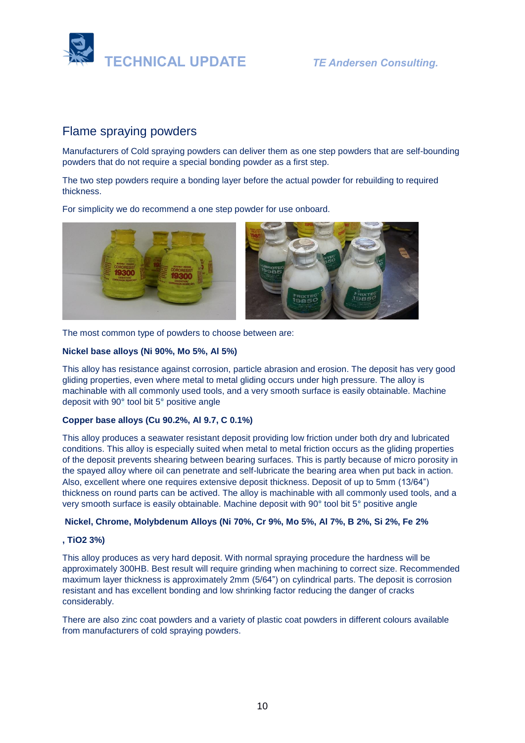

### Flame spraying powders

Manufacturers of Cold spraying powders can deliver them as one step powders that are self-bounding powders that do not require a special bonding powder as a first step.

The two step powders require a bonding layer before the actual powder for rebuilding to required thickness.

For simplicity we do recommend a one step powder for use onboard.



The most common type of powders to choose between are:

#### **Nickel base alloys (Ni 90%, Mo 5%, Al 5%)**

This alloy has resistance against corrosion, particle abrasion and erosion. The deposit has very good gliding properties, even where metal to metal gliding occurs under high pressure. The alloy is machinable with all commonly used tools, and a very smooth surface is easily obtainable. Machine deposit with 90° tool bit 5° positive angle

#### **Copper base alloys (Cu 90.2%, Al 9.7, C 0.1%)**

This alloy produces a seawater resistant deposit providing low friction under both dry and lubricated conditions. This alloy is especially suited when metal to metal friction occurs as the gliding properties of the deposit prevents shearing between bearing surfaces. This is partly because of micro porosity in the spayed alloy where oil can penetrate and self-lubricate the bearing area when put back in action. Also, excellent where one requires extensive deposit thickness. Deposit of up to 5mm (13/64") thickness on round parts can be actived. The alloy is machinable with all commonly used tools, and a very smooth surface is easily obtainable. Machine deposit with 90° tool bit 5° positive angle

#### **Nickel, Chrome, Molybdenum Alloys (Ni 70%, Cr 9%, Mo 5%, Al 7%, B 2%, Si 2%, Fe 2%**

#### **, TiO2 3%)**

This alloy produces as very hard deposit. With normal spraying procedure the hardness will be approximately 300HB. Best result will require grinding when machining to correct size. Recommended maximum layer thickness is approximately 2mm (5/64") on cylindrical parts. The deposit is corrosion resistant and has excellent bonding and low shrinking factor reducing the danger of cracks considerably.

There are also zinc coat powders and a variety of plastic coat powders in different colours available from manufacturers of cold spraying powders.